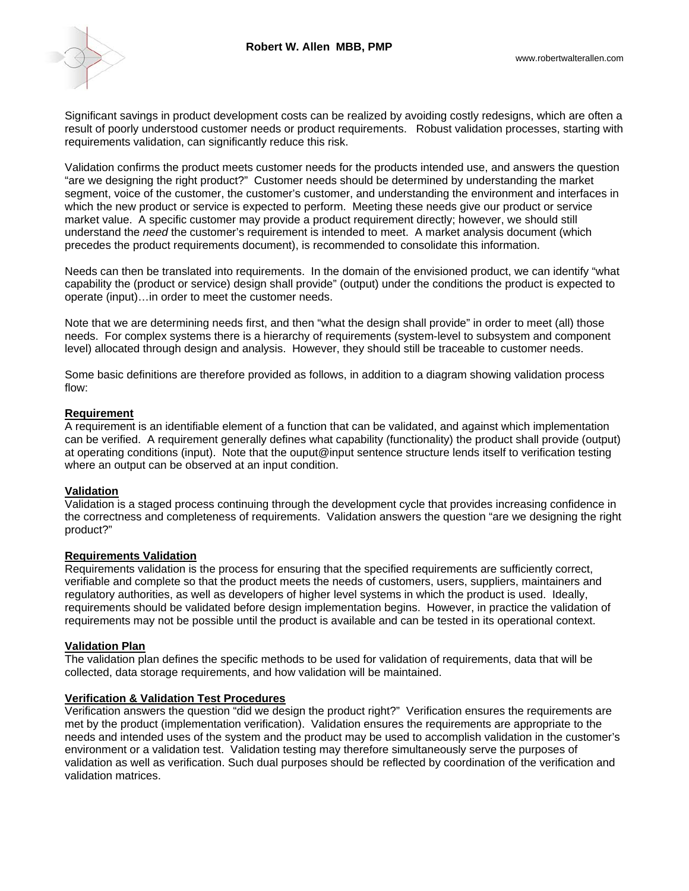

Significant savings in product development costs can be realized by avoiding costly redesigns, which are often a result of poorly understood customer needs or product requirements. Robust validation processes, starting with requirements validation, can significantly reduce this risk.

Validation confirms the product meets customer needs for the products intended use, and answers the question "are we designing the right product?" Customer needs should be determined by understanding the market segment, voice of the customer, the customer's customer, and understanding the environment and interfaces in which the new product or service is expected to perform. Meeting these needs give our product or service market value. A specific customer may provide a product requirement directly; however, we should still understand the *need* the customer's requirement is intended to meet. A market analysis document (which precedes the product requirements document), is recommended to consolidate this information.

Needs can then be translated into requirements. In the domain of the envisioned product, we can identify "what capability the (product or service) design shall provide" (output) under the conditions the product is expected to operate (input)…in order to meet the customer needs.

Note that we are determining needs first, and then "what the design shall provide" in order to meet (all) those needs. For complex systems there is a hierarchy of requirements (system-level to subsystem and component level) allocated through design and analysis. However, they should still be traceable to customer needs.

Some basic definitions are therefore provided as follows, in addition to a diagram showing validation process flow:

#### **Requirement**

A requirement is an identifiable element of a function that can be validated, and against which implementation can be verified. A requirement generally defines what capability (functionality) the product shall provide (output) at operating conditions (input). Note that the ouput@input sentence structure lends itself to verification testing where an output can be observed at an input condition.

## **Validation**

Validation is a staged process continuing through the development cycle that provides increasing confidence in the correctness and completeness of requirements. Validation answers the question "are we designing the right product?"

# **Requirements Validation**

Requirements validation is the process for ensuring that the specified requirements are sufficiently correct, verifiable and complete so that the product meets the needs of customers, users, suppliers, maintainers and regulatory authorities, as well as developers of higher level systems in which the product is used. Ideally, requirements should be validated before design implementation begins. However, in practice the validation of requirements may not be possible until the product is available and can be tested in its operational context.

## **Validation Plan**

The validation plan defines the specific methods to be used for validation of requirements, data that will be collected, data storage requirements, and how validation will be maintained.

#### **Verification & Validation Test Procedures**

Verification answers the question "did we design the product right?"Verification ensures the requirements are met by the product (implementation verification). Validation ensures the requirements are appropriate to the needs and intended uses of the system and the product may be used to accomplish validation in the customer's environment or a validation test. Validation testing may therefore simultaneously serve the purposes of validation as well as verification. Such dual purposes should be reflected by coordination of the verification and validation matrices.